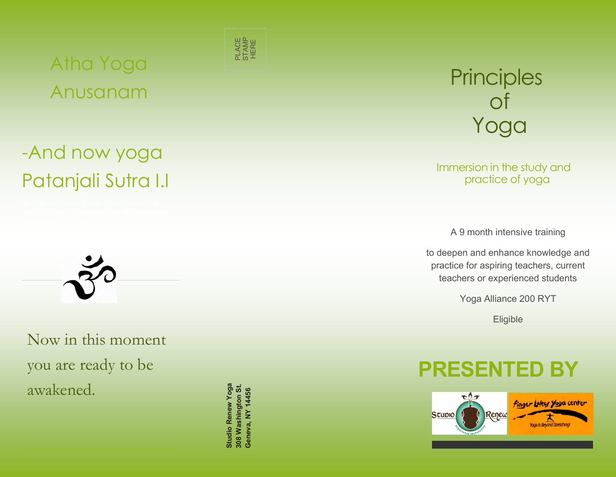## Atha Yoga Anusanam

# -And now yoga Patanjali Sutra I.I



Now in this moment you are ready to be awakened.

**Studio Renew Yoga 308 Washington St. GENEVALUE STAMP HERE**<br>**Geneva, NY 14456**<br>Beneva, NY 14456<br>Beneva, NY 14456



Immersion in the study and practice of yoga

A 9 month intensive training

to deepen and enhance knowledge and practice for aspiring teachers, current teachers or experienced students

Yoga Alliance 200 RYT

Eligible

## **PRESENTED BY**